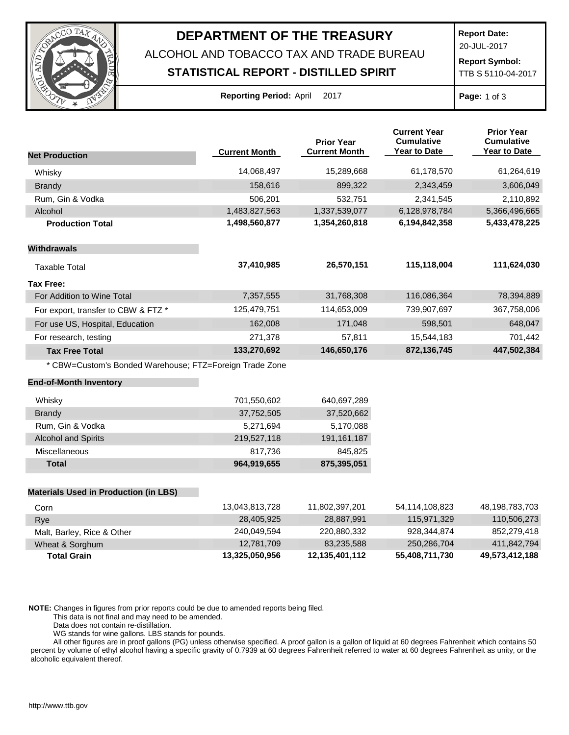

## **DEPARTMENT OF THE TREASURY**

ALCOHOL AND TOBACCO TAX AND TRADE BUREAU

## **STATISTICAL REPORT - DISTILLED SPIRIT**

**Report Date:** 20-JUL-2017

**Report Symbol:** TTB S 5110-04-2017

| Reporting Period: April |  |  | 201 |
|-------------------------|--|--|-----|
|-------------------------|--|--|-----|

**Page:** 1 of 3

|                                                         |                      | <b>Prior Year</b>    | <b>Current Year</b><br><b>Cumulative</b> | <b>Prior Year</b><br><b>Cumulative</b> |
|---------------------------------------------------------|----------------------|----------------------|------------------------------------------|----------------------------------------|
| <b>Net Production</b>                                   | <b>Current Month</b> | <b>Current Month</b> | Year to Date                             | Year to Date                           |
| Whisky                                                  | 14,068,497           | 15,289,668           | 61,178,570                               | 61,264,619                             |
| <b>Brandy</b>                                           | 158,616              | 899,322              | 2,343,459                                | 3,606,049                              |
| Rum, Gin & Vodka                                        | 506,201              | 532,751              | 2,341,545                                | 2,110,892                              |
| Alcohol                                                 | 1,483,827,563        | 1,337,539,077        | 6,128,978,784                            | 5,366,496,665                          |
| <b>Production Total</b>                                 | 1,498,560,877        | 1,354,260,818        | 6,194,842,358                            | 5,433,478,225                          |
| <b>Withdrawals</b>                                      |                      |                      |                                          |                                        |
| <b>Taxable Total</b>                                    | 37,410,985           | 26,570,151           | 115,118,004                              | 111,624,030                            |
| <b>Tax Free:</b>                                        |                      |                      |                                          |                                        |
| For Addition to Wine Total                              | 7,357,555            | 31,768,308           | 116,086,364                              | 78,394,889                             |
| For export, transfer to CBW & FTZ *                     | 125,479,751          | 114,653,009          | 739,907,697                              | 367,758,006                            |
| For use US, Hospital, Education                         | 162,008              | 171,048              | 598,501                                  | 648,047                                |
| For research, testing                                   | 271,378              | 57,811               | 15,544,183                               | 701,442                                |
| <b>Tax Free Total</b>                                   | 133,270,692          | 146,650,176          | 872,136,745                              | 447,502,384                            |
| * CBW=Custom's Bonded Warehouse; FTZ=Foreign Trade Zone |                      |                      |                                          |                                        |
| <b>End-of-Month Inventory</b>                           |                      |                      |                                          |                                        |
| Whisky                                                  | 701,550,602          | 640,697,289          |                                          |                                        |
| <b>Brandy</b>                                           | 37,752,505           | 37,520,662           |                                          |                                        |
| Rum, Gin & Vodka                                        | 5,271,694            | 5,170,088            |                                          |                                        |
| <b>Alcohol and Spirits</b>                              | 219,527,118          | 191, 161, 187        |                                          |                                        |
| Miscellaneous                                           | 817,736              | 845,825              |                                          |                                        |
| <b>Total</b>                                            | 964,919,655          | 875,395,051          |                                          |                                        |
| <b>Materials Used in Production (in LBS)</b>            |                      |                      |                                          |                                        |
| Corn                                                    | 13,043,813,728       | 11,802,397,201       | 54,114,108,823                           | 48,198,783,703                         |
| Rye                                                     | 28,405,925           | 28,887,991           | 115,971,329                              | 110,506,273                            |
| Malt, Barley, Rice & Other                              | 240,049,594          | 220,880,332          | 928,344,874                              | 852,279,418                            |

**NOTE:** Changes in figures from prior reports could be due to amended reports being filed.

This data is not final and may need to be amended.

Data does not contain re-distillation.

WG stands for wine gallons. LBS stands for pounds.

All other figures are in proof gallons (PG) unless otherwise specified. A proof gallon is a gallon of liquid at 60 degrees Fahrenheit which contains 50 percent by volume of ethyl alcohol having a specific gravity of 0.7939 at 60 degrees Fahrenheit referred to water at 60 degrees Fahrenheit as unity, or the alcoholic equivalent thereof.

Wheat & Sorghum 12,781,709 83,235,588 250,286,704 411,842,794 **Total Grain 13,325,050,956 12,135,401,112 55,408,711,730 49,573,412,188**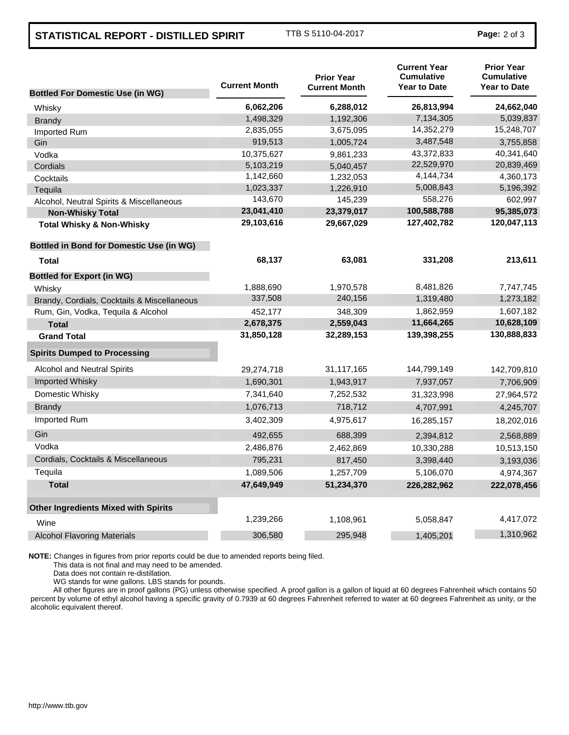## **STATISTICAL REPORT - DISTILLED SPIRIT** TTB S 5110-04-2017 **Page:** <sup>2</sup> of 3

|                                                 | <b>Current Month</b> | <b>Prior Year</b><br><b>Current Month</b> | <b>Current Year</b><br><b>Cumulative</b><br><b>Year to Date</b> | <b>Prior Year</b><br><b>Cumulative</b><br><b>Year to Date</b> |
|-------------------------------------------------|----------------------|-------------------------------------------|-----------------------------------------------------------------|---------------------------------------------------------------|
| <b>Bottled For Domestic Use (in WG)</b>         |                      |                                           |                                                                 |                                                               |
| Whisky                                          | 6,062,206            | 6,288,012                                 | 26,813,994                                                      | 24,662,040                                                    |
| <b>Brandy</b>                                   | 1,498,329            | 1,192,306                                 | 7,134,305                                                       | 5,039,837                                                     |
| Imported Rum                                    | 2,835,055            | 3,675,095                                 | 14,352,279                                                      | 15,248,707                                                    |
| Gin                                             | 919,513              | 1,005,724                                 | 3,487,548                                                       | 3,755,858                                                     |
| Vodka                                           | 10,375,627           | 9,861,233                                 | 43.372.833                                                      | 40,341,640                                                    |
| Cordials                                        | 5,103,219            | 5,040,457                                 | 22,529,970                                                      | 20,839,469                                                    |
| Cocktails                                       | 1,142,660            | 1,232,053                                 | 4,144,734                                                       | 4,360,173                                                     |
| Tequila                                         | 1,023,337            | 1,226,910                                 | 5,008,843                                                       | 5,196,392                                                     |
| Alcohol, Neutral Spirits & Miscellaneous        | 143,670              | 145,239                                   | 558,276                                                         | 602,997                                                       |
| <b>Non-Whisky Total</b>                         | 23,041,410           | 23,379,017                                | 100,588,788                                                     | 95,385,073                                                    |
| <b>Total Whisky &amp; Non-Whisky</b>            | 29,103,616           | 29,667,029                                | 127,402,782                                                     | 120,047,113                                                   |
| <b>Bottled in Bond for Domestic Use (in WG)</b> |                      |                                           |                                                                 |                                                               |
| Total                                           | 68,137               | 63,081                                    | 331,208                                                         | 213,611                                                       |
| <b>Bottled for Export (in WG)</b>               |                      |                                           |                                                                 |                                                               |
| Whisky                                          | 1,888,690            | 1,970,578                                 | 8,481,826                                                       | 7,747,745                                                     |
| Brandy, Cordials, Cocktails & Miscellaneous     | 337,508              | 240,156                                   | 1,319,480                                                       | 1,273,182                                                     |
| Rum, Gin, Vodka, Tequila & Alcohol              | 452,177              | 348,309                                   | 1,862,959                                                       | 1,607,182                                                     |
| <b>Total</b>                                    | 2,678,375            | 2,559,043                                 | 11,664,265                                                      | 10,628,109                                                    |
| <b>Grand Total</b>                              | 31,850,128           | 32,289,153                                | 139,398,255                                                     | 130,888,833                                                   |
| <b>Spirits Dumped to Processing</b>             |                      |                                           |                                                                 |                                                               |
| <b>Alcohol and Neutral Spirits</b>              | 29,274,718           | 31,117,165                                | 144,799,149                                                     | 142,709,810                                                   |
| <b>Imported Whisky</b>                          | 1,690,301            | 1,943,917                                 | 7,937,057                                                       | 7,706,909                                                     |
| Domestic Whisky                                 | 7,341,640            | 7,252,532                                 | 31,323,998                                                      | 27,964,572                                                    |
| <b>Brandy</b>                                   | 1,076,713            | 718,712                                   | 4,707,991                                                       | 4,245,707                                                     |
| Imported Rum                                    | 3,402,309            | 4,975,617                                 | 16,285,157                                                      | 18,202,016                                                    |
| Gin                                             | 492,655              | 688,399                                   | 2,394,812                                                       | 2,568,889                                                     |
| Vodka                                           | 2,486,876            | 2,462,869                                 | 10,330,288                                                      | 10,513,150                                                    |
| Cordials, Cocktails & Miscellaneous             | 795,231              | 817,450                                   | 3,398,440                                                       | 3,193,036                                                     |
| Tequila                                         | 1,089,506            | 1,257,709                                 | 5,106,070                                                       | 4,974,367                                                     |
| <b>Total</b>                                    | 47,649,949           | 51,234,370                                | 226,282,962                                                     | 222,078,456                                                   |
| <b>Other Ingredients Mixed with Spirits</b>     |                      |                                           |                                                                 |                                                               |
| Wine                                            | 1,239,266            | 1,108,961                                 | 5,058,847                                                       | 4,417,072                                                     |
| <b>Alcohol Flavoring Materials</b>              | 306,580              | 295,948                                   | 1,405,201                                                       | 1,310,962                                                     |
|                                                 |                      |                                           |                                                                 |                                                               |

**NOTE:** Changes in figures from prior reports could be due to amended reports being filed.

This data is not final and may need to be amended.

Data does not contain re-distillation.

WG stands for wine gallons. LBS stands for pounds.

All other figures are in proof gallons (PG) unless otherwise specified. A proof gallon is a gallon of liquid at 60 degrees Fahrenheit which contains 50 percent by volume of ethyl alcohol having a specific gravity of 0.7939 at 60 degrees Fahrenheit referred to water at 60 degrees Fahrenheit as unity, or the alcoholic equivalent thereof.